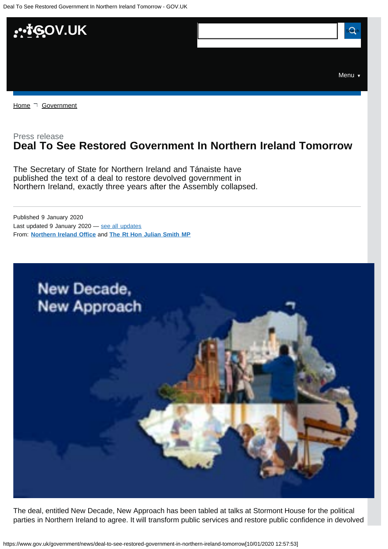<span id="page-0-0"></span>

[Home](https://www.gov.uk/)  $\neg$  [Government](https://www.gov.uk/government/all)

# Press release **Deal To See Restored Government In Northern Ireland Tomorrow**

The Secretary of State for Northern Ireland and Tánaiste have published the text of a deal to restore devolved government in Northern Ireland, exactly three years after the Assembly collapsed.

From: **[Northern Ireland Office](https://www.gov.uk/government/organisations/northern-ireland-office)** and **[The Rt Hon Julian Smith MP](https://www.gov.uk/government/people/julian-smith)** Published 9 January 2020 Last updated 9 January 2020 — [see all updates](#page-2-0)



The deal, entitled New Decade, New Approach has been tabled at talks at Stormont House for the political parties in Northern Ireland to agree. It will transform public services and restore public confidence in devolved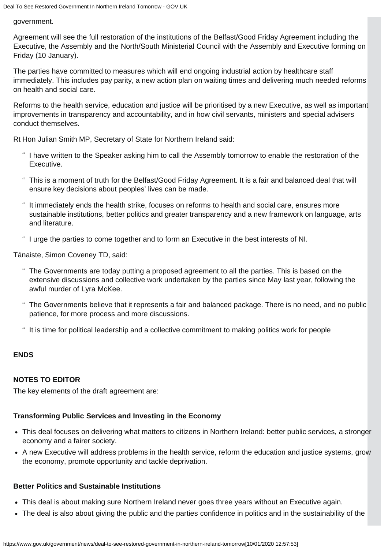## government.

Agreement will see the full restoration of the institutions of the Belfast/Good Friday Agreement including the Executive, the Assembly and the North/South Ministerial Council with the Assembly and Executive forming on Friday (10 January).

The parties have committed to measures which will end ongoing industrial action by healthcare staff immediately. This includes pay parity, a new action plan on waiting times and delivering much needed reforms on health and social care.

Reforms to the health service, education and justice will be prioritised by a new Executive, as well as important improvements in transparency and accountability, and in how civil servants, ministers and special advisers conduct themselves.

Rt Hon Julian Smith MP, Secretary of State for Northern Ireland said:

- " I have written to the Speaker asking him to call the Assembly tomorrow to enable the restoration of the Executive.
- " This is a moment of truth for the Belfast/Good Friday Agreement. It is a fair and balanced deal that will ensure key decisions about peoples' lives can be made.
- " It immediately ends the health strike, focuses on reforms to health and social care, ensures more sustainable institutions, better politics and greater transparency and a new framework on language, arts and literature.
- " I urge the parties to come together and to form an Executive in the best interests of NI.

Tánaiste, Simon Coveney TD, said:

- " The Governments are today putting a proposed agreement to all the parties. This is based on the extensive discussions and collective work undertaken by the parties since May last year, following the awful murder of Lyra McKee.
- " The Governments believe that it represents a fair and balanced package. There is no need, and no public patience, for more process and more discussions.
- " It is time for political leadership and a collective commitment to making politics work for people

# **ENDS**

# **NOTES TO EDITOR**

The key elements of the draft agreement are:

# **Transforming Public Services and Investing in the Economy**

- This deal focuses on delivering what matters to citizens in Northern Ireland: better public services, a stronger economy and a fairer society.
- A new Executive will address problems in the health service, reform the education and justice systems, grow the economy, promote opportunity and tackle deprivation.

# **Better Politics and Sustainable Institutions**

- This deal is about making sure Northern Ireland never goes three years without an Executive again.
- The deal is also about giving the public and the parties confidence in politics and in the sustainability of the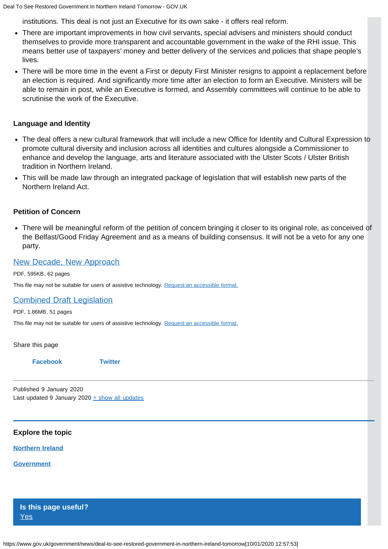institutions. This deal is not just an Executive for its own sake - it offers real reform.

- There are important improvements in how civil servants, special advisers and ministers should conduct themselves to provide more transparent and accountable government in the wake of the RHI issue. This means better use of taxpayers' money and better delivery of the services and policies that shape people's lives.
- There will be more time in the event a First or deputy First Minister resigns to appoint a replacement before an election is required. And significantly more time after an election to form an Executive. Ministers will be able to remain in post, while an Executive is formed, and Assembly committees will continue to be able to scrutinise the work of the Executive.

## **Language and Identity**

- The deal offers a new cultural framework that will include a new Office for Identity and Cultural Expression to promote cultural diversity and inclusion across all identities and cultures alongside a Commissioner to enhance and develop the language, arts and literature associated with the Ulster Scots / Ulster British tradition in Northern Ireland.
- This will be made law through an integrated package of legislation that will establish new parts of the Northern Ireland Act.

## **Petition of Concern**

There will be meaningful reform of the petition of concern bringing it closer to its original role, as conceived of the Belfast/Good Friday Agreement and as a means of building consensus. It will not be a veto for any one party.

## [New Decade, New Approach](https://assets.publishing.service.gov.uk/government/uploads/system/uploads/attachment_data/file/856998/2020-01-08_a_new_decade__a_new_approach.pdf)

PDF, 595KB, 62 pages

This file may not be suitable for users of assistive technology. [Request an accessible format.](#page-0-0)

## [Combined Draft Legislation](https://assets.publishing.service.gov.uk/government/uploads/system/uploads/attachment_data/file/857001/Final_Combined_Legislation_for_publication.pdf)

PDF, 1.86MB, 51 pages

This file may not be suitable for users of assistive technology. [Request an accessible format.](#page-0-0)

Share this page

#### **[Facebook](https://www.facebook.com/sharer/sharer.php?u=https%3A%2F%2Fwww.gov.uk%2Fgovernment%2Fnews%2Fdeal-to-see-restored-government-in-northern-ireland-tomorrow) [Twitter](https://twitter.com/share?url=https%3A%2F%2Fwww.gov.uk%2Fgovernment%2Fnews%2Fdeal-to-see-restored-government-in-northern-ireland-tomorrow&text=Deal%20To%20See%20Restored%20Government%20In%20Northern%20Ireland%20Tomorrow)**

<span id="page-2-0"></span>Published 9 January 2020 Last updated 9 January 2020  $+$  [show all updates](#page-0-0)

### **Explore the topic**

#### **[Northern Ireland](https://www.gov.uk/regional-and-local-government/northern-ireland)**

#### **[Government](https://www.gov.uk/government/all)**

**Is this page useful?** [Yes](https://www.gov.uk/contact/govuk)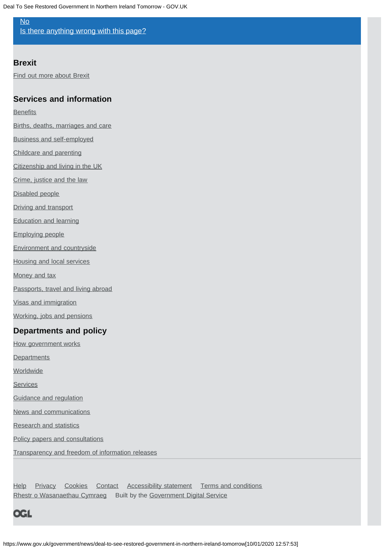# [No](https://www.gov.uk/contact/govuk)

[Is there anything wrong with this page?](https://www.gov.uk/contact/govuk)

# **Brexit**

[Find out more about Brexit](https://www.gov.uk/brexit)

# **Services and information**

**[Benefits](https://www.gov.uk/browse/benefits)** 

- [Births, deaths, marriages and care](https://www.gov.uk/browse/births-deaths-marriages)
- [Business and self-employed](https://www.gov.uk/browse/business)

[Childcare and parenting](https://www.gov.uk/browse/childcare-parenting)

[Citizenship and living in the UK](https://www.gov.uk/browse/citizenship)

[Crime, justice and the law](https://www.gov.uk/browse/justice)

[Disabled people](https://www.gov.uk/browse/disabilities)

[Driving and transport](https://www.gov.uk/browse/driving)

[Education and learning](https://www.gov.uk/browse/education)

[Employing people](https://www.gov.uk/browse/employing-people)

[Environment and countryside](https://www.gov.uk/browse/environment-countryside)

[Housing and local services](https://www.gov.uk/browse/housing-local-services)

[Money and tax](https://www.gov.uk/browse/tax)

[Passports, travel and living abroad](https://www.gov.uk/browse/abroad)

[Visas and immigration](https://www.gov.uk/browse/visas-immigration)

[Working, jobs and pensions](https://www.gov.uk/browse/working)

# **Departments and policy**

[How government works](https://www.gov.uk/government/how-government-works)

**[Departments](https://www.gov.uk/government/organisations)** 

**[Worldwide](https://www.gov.uk/world)** 

**[Services](https://www.gov.uk/search/services)** 

[Guidance and regulation](https://www.gov.uk/search/guidance-and-regulation)

[News and communications](https://www.gov.uk/search/news-and-communications)

[Research and statistics](https://www.gov.uk/search/research-and-statistics)

[Policy papers and consultations](https://www.gov.uk/search/policy-papers-and-consultations)

[Transparency and freedom of information releases](https://www.gov.uk/search/transparency-and-freedom-of-information-releases)

[Help](https://www.gov.uk/help) [Privacy](https://www.gov.uk/help/privacy-notice) [Cookies](https://www.gov.uk/help/cookies) [Contact](https://www.gov.uk/contact) [Accessibility statement](https://www.gov.uk/help/accessibility-statement) [Terms and conditions](https://www.gov.uk/help/terms-conditions) [Rhestr o Wasanaethau Cymraeg](https://www.gov.uk/cymraeg) Built by the [Government Digital Service](https://www.gov.uk/government/organisations/government-digital-service)